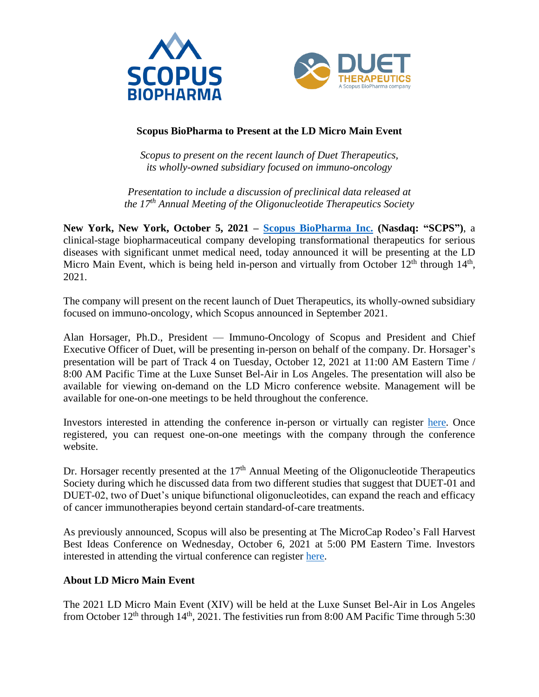



# **Scopus BioPharma to Present at the LD Micro Main Event**

*Scopus to present on the recent launch of Duet Therapeutics, its wholly-owned subsidiary focused on immuno-oncology*

*Presentation to include a discussion of preclinical data released at the 17th Annual Meeting of the Oligonucleotide Therapeutics Society*

**New York, New York, October 5, 2021 – [Scopus BioPharma Inc.](https://scopusbiopharma.com/) (Nasdaq: "SCPS")**, a clinical-stage biopharmaceutical company developing transformational therapeutics for serious diseases with significant unmet medical need, today announced it will be presenting at the LD Micro Main Event, which is being held in-person and virtually from October  $12<sup>th</sup>$  through  $14<sup>th</sup>$ , 2021.

The company will present on the recent launch of Duet Therapeutics, its wholly-owned subsidiary focused on immuno-oncology, which Scopus announced in September 2021.

Alan Horsager, Ph.D., President — Immuno-Oncology of Scopus and President and Chief Executive Officer of Duet, will be presenting in-person on behalf of the company. Dr. Horsager's presentation will be part of Track 4 on Tuesday, October 12, 2021 at 11:00 AM Eastern Time / 8:00 AM Pacific Time at the Luxe Sunset Bel-Air in Los Angeles. The presentation will also be available for viewing on-demand on the LD Micro conference website. Management will be available for one-on-one meetings to be held throughout the conference.

Investors interested in attending the conference in-person or virtually can register [here.](https://me21.mysequire.com/) Once registered, you can request one-on-one meetings with the company through the conference website.

Dr. Horsager recently presented at the  $17<sup>th</sup>$  Annual Meeting of the Oligonucleotide Therapeutics Society during which he discussed data from two different studies that suggest that DUET-01 and DUET-02, two of Duet's unique bifunctional oligonucleotides, can expand the reach and efficacy of cancer immunotherapies beyond certain standard-of-care treatments.

As previously announced, Scopus will also be presenting at The MicroCap Rodeo's Fall Harvest Best Ideas Conference on Wednesday, October 6, 2021 at 5:00 PM Eastern Time. Investors interested in attending the virtual conference can register [here.](https://microcaprodeo.com/signup)

## **About LD Micro Main Event**

The 2021 LD Micro Main Event (XIV) will be held at the Luxe Sunset Bel-Air in Los Angeles from October 12<sup>th</sup> through 14<sup>th</sup>, 2021. The festivities run from 8:00 AM Pacific Time through 5:30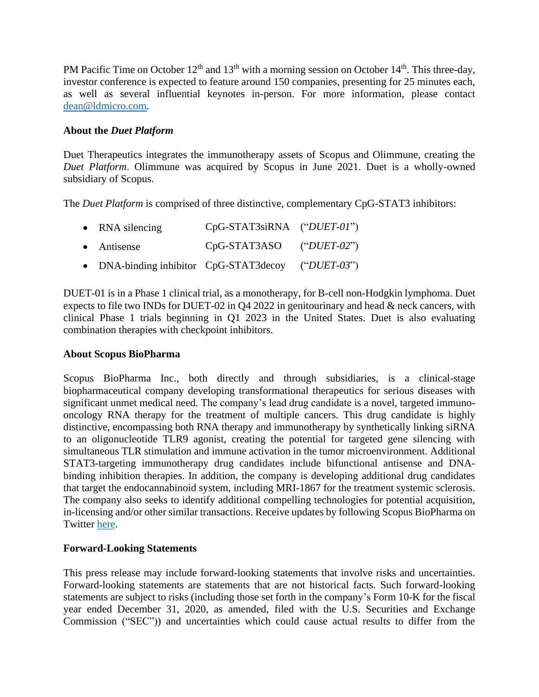PM Pacific Time on October  $12<sup>th</sup>$  and  $13<sup>th</sup>$  with a morning session on October  $14<sup>th</sup>$ . This three-day, investor conference is expected to feature around 150 companies, presenting for 25 minutes each, as well as several influential keynotes in-person. For more information, please contact [dean@ldmicro.com.](mailto:dean@ldmicro.com)

### **About the** *Duet Platform*

Duet Therapeutics integrates the immunotherapy assets of Scopus and Olimmune, creating the *Duet Platform*. Olimmune was acquired by Scopus in June 2021. Duet is a wholly-owned subsidiary of Scopus.

The *Duet Platform* is comprised of three distinctive, complementary CpG-STAT3 inhibitors:

| • RNA silencing                        | $CpG-STAT3siRNA$ (" $DUET-01$ ") |                 |
|----------------------------------------|----------------------------------|-----------------|
| • Antisense                            | $CpG-STAT3ASO$ (" $DUET-02$ ")   |                 |
| • DNA-binding inhibitor CpG-STAT3decoy |                                  | (" $DUET-03$ ") |

DUET-01 is in a Phase 1 clinical trial, as a monotherapy, for B-cell non-Hodgkin lymphoma. Duet expects to file two INDs for DUET-02 in Q4 2022 in genitourinary and head & neck cancers, with clinical Phase 1 trials beginning in Q1 2023 in the United States. Duet is also evaluating combination therapies with checkpoint inhibitors.

#### **About Scopus BioPharma**

Scopus BioPharma Inc., both directly and through subsidiaries, is a clinical-stage biopharmaceutical company developing transformational therapeutics for serious diseases with significant unmet medical need. The company's lead drug candidate is a novel, targeted immunooncology RNA therapy for the treatment of multiple cancers. This drug candidate is highly distinctive, encompassing both RNA therapy and immunotherapy by synthetically linking siRNA to an oligonucleotide TLR9 agonist, creating the potential for targeted gene silencing with simultaneous TLR stimulation and immune activation in the tumor microenvironment. Additional STAT3-targeting immunotherapy drug candidates include bifunctional antisense and DNAbinding inhibition therapies. In addition, the company is developing additional drug candidates that target the endocannabinoid system, including MRI-1867 for the treatment systemic sclerosis. The company also seeks to identify additional compelling technologies for potential acquisition, in-licensing and/or other similar transactions. Receive updates by following Scopus BioPharma on Twitter [here.](https://twitter.com/ScopusSCPS)

## **Forward-Looking Statements**

This press release may include forward-looking statements that involve risks and uncertainties. Forward-looking statements are statements that are not historical facts. Such forward-looking statements are subject to risks (including those set forth in the company's Form 10-K for the fiscal year ended December 31, 2020, as amended, filed with the U.S. Securities and Exchange Commission ("SEC")) and uncertainties which could cause actual results to differ from the